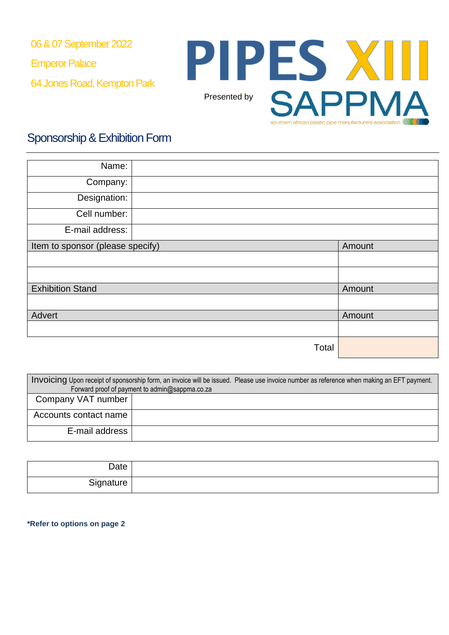06 & 07 September 2022

Emperor Palace

64 Jones Road, Kempton Park



# Sponsorship& Exhibition Form

| Name:                            |       |        |
|----------------------------------|-------|--------|
| Company:                         |       |        |
| Designation:                     |       |        |
| Cell number:                     |       |        |
| E-mail address:                  |       |        |
| Item to sponsor (please specify) |       | Amount |
|                                  |       |        |
|                                  |       |        |
| <b>Exhibition Stand</b>          |       | Amount |
|                                  |       |        |
| Advert                           |       | Amount |
|                                  |       |        |
|                                  | Total |        |

| Invoicing Upon receipt of sponsorship form, an invoice will be issued. Please use invoice number as reference when making an EFT payment. |  |  |
|-------------------------------------------------------------------------------------------------------------------------------------------|--|--|
| Forward proof of payment to admin@sappma.co.za                                                                                            |  |  |
| Company VAT number                                                                                                                        |  |  |
| Accounts contact name                                                                                                                     |  |  |
| E-mail address                                                                                                                            |  |  |

| Date      |  |
|-----------|--|
| Signature |  |

**\*Refer to options on page 2**